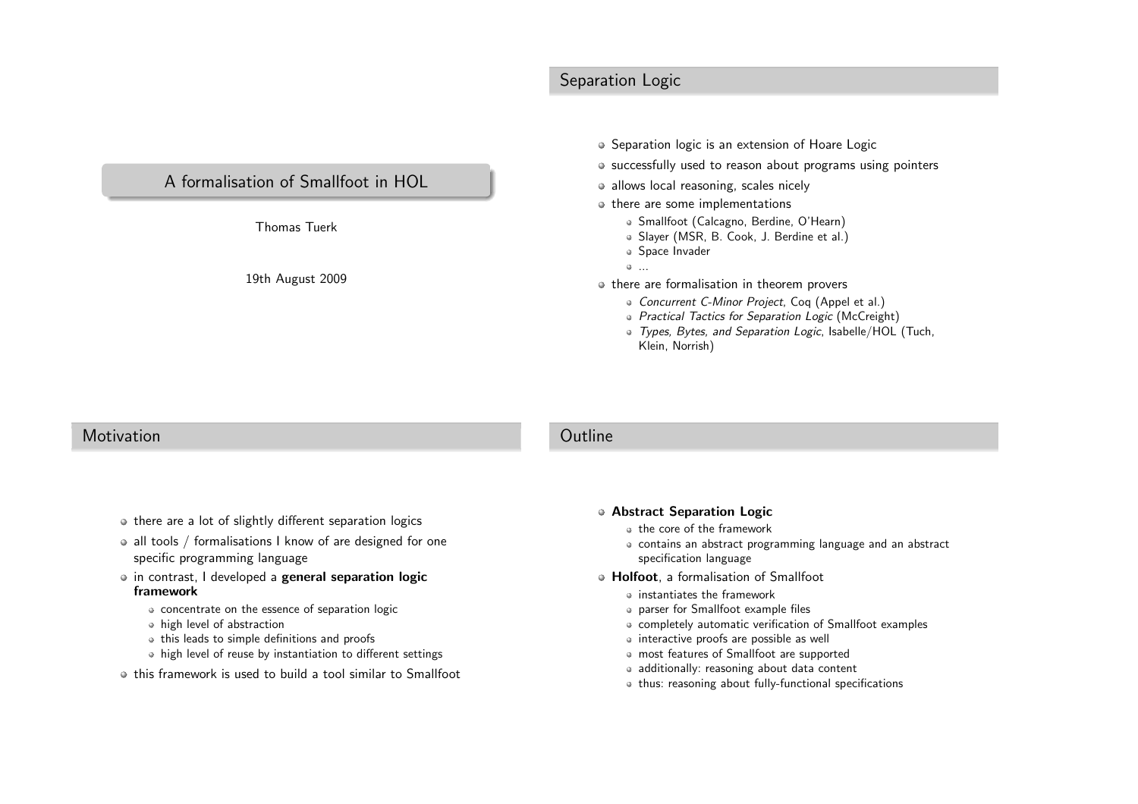# Separation Logic

## <sup>A</sup> formalisation of Smallfoot in HOL

Thomas Tuerk

19th August <sup>2009</sup>

- Separation logic is an extension of Hoare Logic
- successfully used to reason about programs using pointers
- allows local reasoning, scales nicely
- $\circ$  there are some implementations
	- Smallfoot (Calcagno, Berdine, O'Hearn)
	- Slayer (MSR, B. Cook, J. Berdine et al.)
	- Space Invader
	- ...
- $\bullet$  there are formalisation in theorem provers
	- Concurrent C-Minor Project, Coq (Appel et al.)
	- Practical Tactics for Separation Logic (McCreight)
	- Types, Bytes, and Separation Logic, Isabelle/HOL (Tuch, Klein, Norrish)

#### **Motivation**

#### **Outline**

- there are a lot of slightly different separation logics
- all tools / formalisations I know of are designed for one specific programming language
- in contrast, I developed a **general separation logic** framework
	- concentrate on the essence of separation logic
	- high level of abstraction
	- this leads to simple definitions and proofs
	- high level of reuse by instantiation to different settings
- this framework is used to build <sup>a</sup> tool similar to Smallfoot

#### Abstract Separation Logic

- the core of the framework
- contains an abstract programming language and an abstractspecification language
- **e Holfoot**, a formalisation of Smallfoot
	- instantiates the framework
	- parser for Smallfoot example files
	- completely automatic verification of Smallfoot examples
	- interactive proofs are possible as well
	- most features of Smallfoot are supported
	- additionally: reasoning about data content
	- thus: reasoning about fully-functional specifications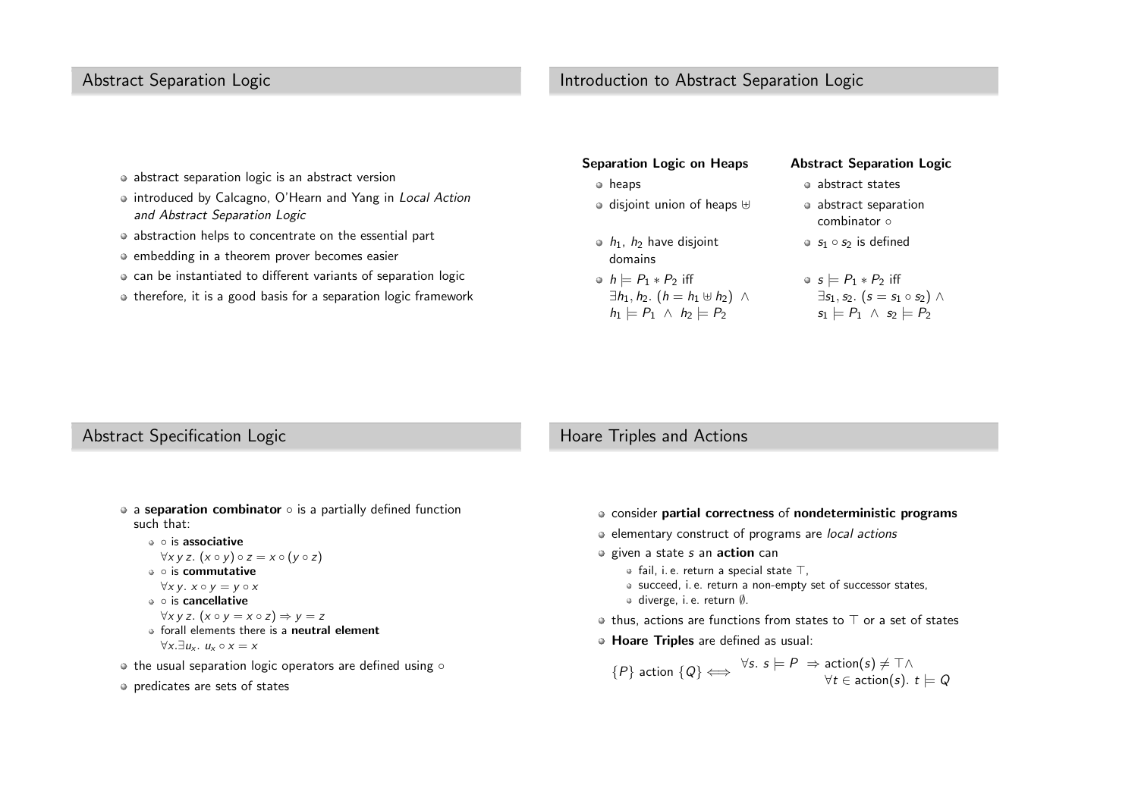# Abstract Separation Logic

## Introduction to Abstract Separation Logic

- abstract separation logic is an abstract version
- introduced by Calcagno, O'Hearn and Yang in Local Action and Abstract Separation Logic
- abstraction helps to concentrate on the essential part
- embedding in <sup>a</sup> theorem prover becomes easier
- can be instantiated to different variants of separation logic
- therefore, it is <sup>a</sup> good basis for <sup>a</sup> separation logic framework

| <b>Separation Logic on Heaps</b>                                                                                              | <b>Abstract Separation Logic</b>                                                                                                     |
|-------------------------------------------------------------------------------------------------------------------------------|--------------------------------------------------------------------------------------------------------------------------------------|
| heaps<br>۰                                                                                                                    | • abstract states                                                                                                                    |
| $\circ$ disjoint union of heaps $\uplus$                                                                                      | • abstract separation<br>combinator o                                                                                                |
| $\bullet$ $h_1$ , $h_2$ have disjoint<br>domains                                                                              | $\bullet$ $s_1 \circ s_2$ is defined                                                                                                 |
| • $h \models P_1 * P_2$ iff<br>$\exists h_1, h_2.$ $(h = h_1 \oplus h_2)$ $\wedge$<br>$h_1 \models P_1 \land h_2 \models P_2$ | $\bullet$ s $\models$ $P_1 * P_2$ iff<br>$\exists s_1, s_2.$ $(s = s_1 \circ s_2) \wedge$<br>$s_1 \models P_1 \land s_2 \models P_2$ |

#### Abstract Specification Logic

#### Hoare Triples and Actions

- a **separation combinator**  $\circ$  is a partially defined function such that:
	- is associative

$$
\forall x \ y \ z. \ (x \circ y) \circ z = x \circ (y \circ z)
$$

▽× y z. (x ∘ y) ∘ z<br>∘ is **commutative** 

$$
\forall x \, y. \, x \circ y = y \circ x
$$

$$
\bullet \circ \text{ is cancellation}
$$

- ∘ is **cancellative**<br>∀x y z. (x ∘ y = x ∘ z) ⇒<br>Se ell class de de si co
- $\forall x$  y z.  $(x \circ y = x \circ z) \Rightarrow y = z$ <br>forall elements there is a **neutral element**  $\forall x. \exists u_x. u_x \circ x = x$
- the usual separation logic operators are defined using  $\circ$
- predicates are sets of states
- consider partial correctness of nondeterministic programs
- elementary construct of programs are local actions
- given a state *s* an **action** can
	- fail, i. e. return <sup>a</sup> special state <sup>⊤</sup>,
	- succeed, i. e. return <sup>a</sup> non-empty set of successor states,
	- diverge, i. e. return <sup>∅</sup>.
- thus, actions are functions from states to  $⊤$  or a set of states
- Hoare Triples are defined as usual:

$$
\{P\} \text{ action } \{Q\} \Longleftrightarrow \forall s. \; s \models P \Rightarrow \text{action}(s) \neq \top \land \\ \forall t \in \text{action}(s). \; t \models Q
$$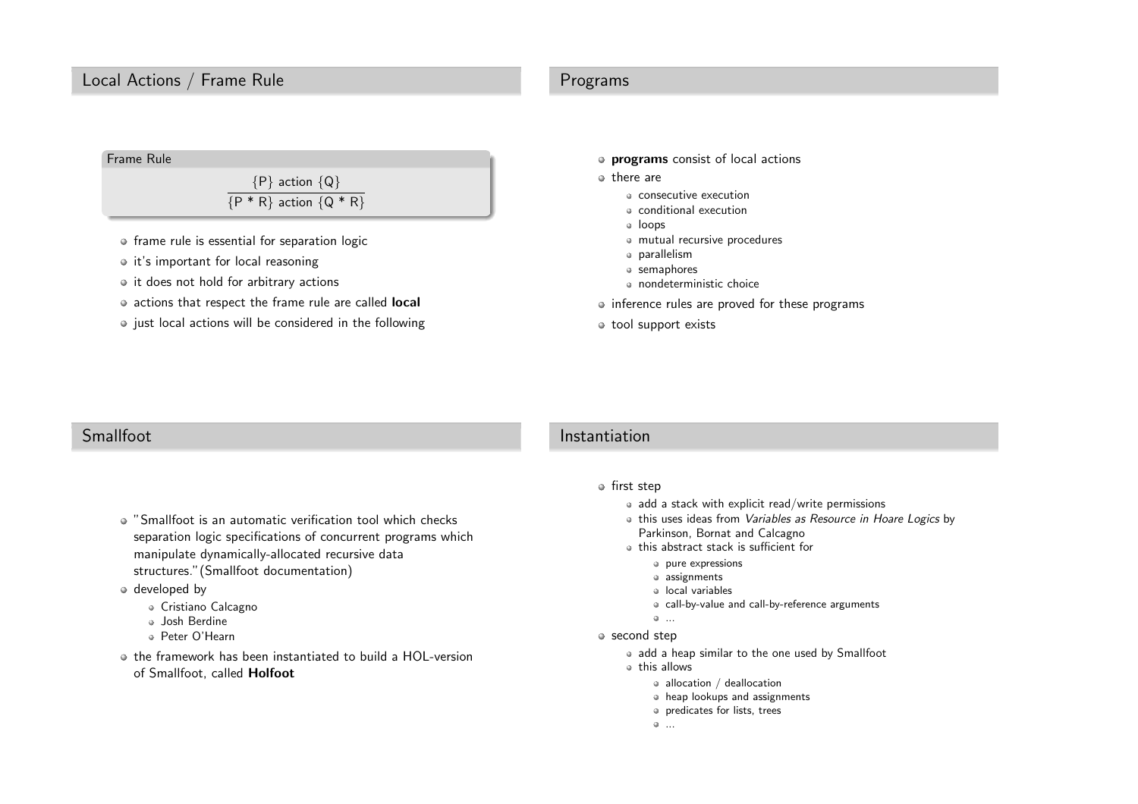## Local Actions / Frame Rule

#### Programs



- frame rule is essential for separation logic
- $\bullet$  it's important for local reasoning
- $\circ$  it does not hold for arbitrary actions
- actions that respect the frame rule are called **local**
- $\bullet$  just local actions will be considered in the following
- programs consist of local actions
- o there are
	- consecutive execution
	- conditional execution
	- loops
	- mutual recursive procedures
	- parallelism
	- semaphores
	- nondeterministic choice
- o inference rules are proved for these programs
- tool support exists

# Smallfoot

#### "Smallfoot is an automatic verification tool which checks separation logic specifications of concurrent programs whichmanipulate dynamically-allocated recursive datastructures."(Smallfoot documentation)

#### developed by

- Cristiano Calcagno
- <sup>o</sup> Josh Berdine
- Peter O'Hearn
- the framework has been instantiated to build <sup>a</sup> HOL-versionof Smallfoot, called **Holfoot**

## Instantiation

#### $\circ$  first step

- add a stack with explicit read/write permissions
- this uses ideas from *Variables as Resource in Hoare Logics* by<br>Parliases, Barret and Calsarms Parkinson, Bornat and Calcagno
- this abstract stack is sufficient for
	- pure expressions
	- assignments
	- local variables
	- call-by-value and call-by-reference arguments

```
\bullet ...
```
- second step
	- add <sup>a</sup> heap similar to the one used by Smallfoot
	- this allows
		- allocation / deallocation
		- heap lookups and assignments
		- predicates for lists, trees

```
...
```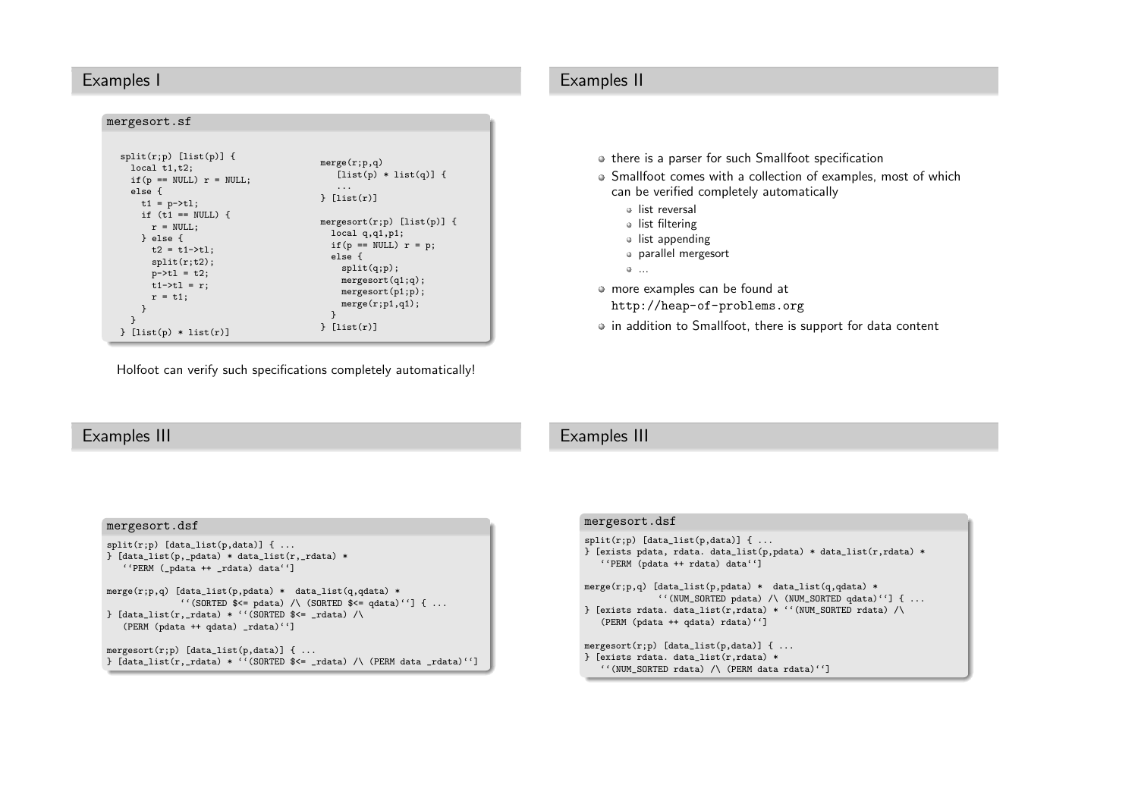#### Examples <sup>I</sup>

#### mergesort.sf

| $split(r;p)$ [list(p)] {<br>local $t1,t2$ ;<br>if $(p == NULL)$ $r = NULL;$<br>else f<br>$t1 = p-\t{t}$ ;                                          | merge(r;p,q)<br>$[iist(p) * list(q)]$ {<br>$\ddots$<br>$\}$ [list(r)]                                                                                                                        |
|----------------------------------------------------------------------------------------------------------------------------------------------------|----------------------------------------------------------------------------------------------------------------------------------------------------------------------------------------------|
| if $(t1 == NULL)$ {<br>$r = NULL;$<br>} else {<br>$t2 = t1 - \frac{1}{1}$<br>split(r;t2);<br>$p - > t1 = t2;$<br>$t1 - \t{t1} = r$ ;<br>$r = t1$ : | mergesort $(r;p)$ [list $(p)$ ] {<br>local q,q1,p1;<br>if $(p == NULL)$ $r = p$ ;<br>else f<br>split(q;p);<br>mergesort(q1;q);<br>mergesort(p1;p);<br>merge(r;p1,q1);<br>ł<br>$\}$ [list(r)] |
| $[iist(p) * list(r)]$                                                                                                                              |                                                                                                                                                                                              |

Holfoot can verify such specifications completely automatically!

# Examples II

- $\circ$  there is a parser for such Smallfoot specification
- Smallfoot comes with <sup>a</sup> collection of examples, most of whichcan be verified completely automatically
	- list reversal
	- list filtering
	- list appending
	- parallel mergesort
	- ...

more examples can be found at

<http://heap-of-problems.org>

in addition to Smallfoot, there is support for data content

#### Examples III

# Examples III

| mergesort.dsf                                                                                                                                                                                                                                        |
|------------------------------------------------------------------------------------------------------------------------------------------------------------------------------------------------------------------------------------------------------|
| $split(r;p)$ [data_list(p,data)] {<br>$\}$ [data_list(p,_pdata) * data_list(r,_rdata) *<br>"PERM (_pdata ++ _rdata) data"]                                                                                                                           |
| merge $(r; p, q)$ [data_list $(p, p$ data) * data_list $(q, q$ data) *<br>"(SORTED $\brace{\cdot \cdot}$ pdata) /\ (SORTED $\brace{\cdot}$ edata)''] {<br>$\}$ [data_list(r,_rdata) * ''(SORTED \$<= _rdata) /\<br>(PERM (pdata ++ qdata) _rdata)''] |
| mergesort $(r;p)$ [data_list $(p, data)$ ] {<br>} $[data_list(r, _rdata) * ' '(SORTED $<= _rdata) / \ (PERM data _rdata)'']$                                                                                                                         |

#### mergesort.dsf

 $split(r;p)$  [data\_list(p,data)] { ... } [exists <sup>p</sup>data, rdata. data\_list(p,pdata) \* data\_list(r,rdata) \* ''PERM (pdata ++ rdata) data''] merge(r;p,q) [data\_list(p,pdata) \* data\_list(q,qdata) \*

''(NUM\_SORTED <sup>p</sup>data) /\ (NUM\_SORTED <sup>q</sup>data)''] { ... } [exists rdata. data\_list(r,rdata) \* ''(NUM\_SORTED rdata) /\ (PERM (pdata ++ <sup>q</sup>data) rdata)'']

```
mergesort(r;p) [data_list(p,data)] { ...
} [exists rdata. data_list(r,rdata) *
   ''(NUM_SORTED rdata) /\ (PERM data rdata)'']
```